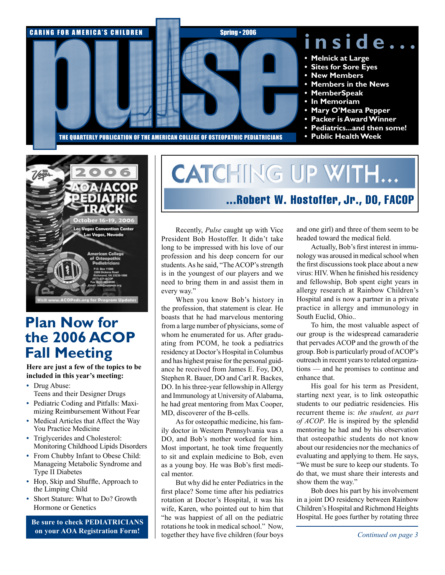



## **Plan Now for the 2006 ACOP Fall Meeting**

**Here are just a few of the topics to be included in this year's meeting:**

- Drug Abuse: Teens and their Designer Drugs
- Pediatric Coding and Pitfalls: Maximizing Reimbursement Without Fear
- Medical Articles that Affect the Way You Practice Medicine
- Triglycerides and Cholesterol: Monitoring Childhood Lipids Disorders
- From Chubby Infant to Obese Child: Manageing Metabolic Syndrome and Type II Diabetes
- Hop, Skip and Shuffle, Approach to the Limping Child
- Short Stature: What to Do? Growth Hormone or Genetics

**Be sure to check PEDIATRICIANS on your AOA Registration Form!**

# **CATCHING UP WITH...** ...Robert W. Hostoffer, Jr., DO, FACOP

Recently, *Pulse* caught up with Vice President Bob Hostoffer. It didn't take long to be impressed with his love of our profession and his deep concern for our students. As he said, "The ACOP's strength is in the youngest of our players and we need to bring them in and assist them in every way."

When you know Bob's history in the profession, that statement is clear. He boasts that he had marvelous mentoring from a large number of physicians, some of whom he enumerated for us. After graduating from PCOM, he took a pediatrics residency at Doctor's Hospital in Columbus and has highest praise for the personal guidance he received from James E. Foy, DO, Stephen R. Bauer, DO and Carl R. Backes, DO. In his three-year fellowship in Allergy and Immunology at University of Alabama, he had great mentoring from Max Cooper, MD, discoverer of the B-cells.

As for osteopathic medicine, his family doctor in Western Pennsylvania was a DO, and Bob's mother worked for him. Most important, he took time frequently to sit and explain medicine to Bob, even as a young boy. He was Bob's first medical mentor.

But why did he enter Pediatrics in the first place? Some time after his pediatrics rotation at Doctor's Hospital, it was his wife, Karen, who pointed out to him that "he was happiest of all on the pediatric rotations he took in medical school." Now, together they have five children (four boys and one girl) and three of them seem to be headed toward the medical field.

Actually, Bob's first interest in immunology was aroused in medical school when the first discussions took place about a new virus: HIV. When he finished his residency and fellowship, Bob spent eight years in allergy research at Rainbow Children's Hospital and is now a partner in a private practice in allergy and immunology in South Euclid, Ohio..

To him, the most valuable aspect of our group is the widespread camaraderie that pervades ACOP and the growth of the group. Bob is particularly proud of ACOP's outreach in recent years to related organizations — and he promises to continue and enhance that.

His goal for his term as President, starting next year, is to link osteopathic students to our pediatric residencies. His recurrent theme is: *the student, as part of ACOP*. He is inspired by the splendid mentoring he had and by his observation that osteopathic students do not know about our residencies nor the mechanics of evaluating and applying to them. He says, "We must be sure to keep our students. To do that, we must share their interests and show them the way."

Bob does his part by his involvement in a joint DO residency between Rainbow Children's Hospital and Richmond Heights Hospital. He goes further by rotating three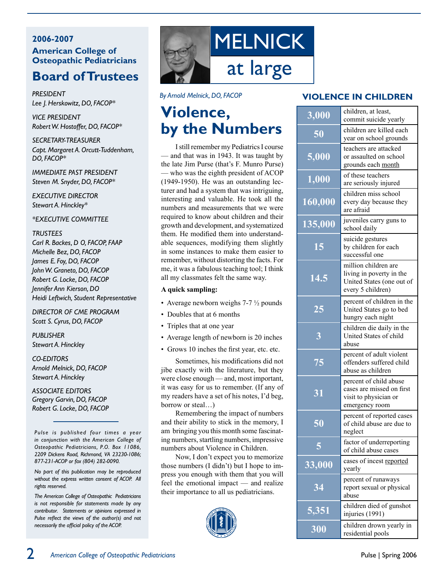#### **2006-2007 American College of Osteopathic Pediatricians**

### **Board ofTrustees**

*President Lee J. Herskowitz, DO, FACOP\**

*Vice President Robert W. Hostoffer, DO, FACOP\**

*Secretary-Treasurer Capt. Margaret A. Orcutt-Tuddenham, DO, FACOP\**

*Immediate Past President Steven M. Snyder, DO, FACOP\**

*Executive Director Stewart A. Hinckley\**

*\*EXECUTIVE COMMITTEE*

#### *Trustees*

*Carl R. Backes, D O, FACOP, FAAP Michelle Bez, DO, FACOP James E. Foy, DO, FACOP John W. Graneto, DO, FACOP Robert G. Locke, DO, FACOP Jennifer Ann Kierson, DO Heidi Leftwich, Student Representative*

*Director of CME Program Scott S. Cyrus, DO, FACOP*

*PUBLISHER Stewart A. Hinckley*

*Co-Editors Arnold Melnick, DO, FACOP Stewart A. Hinckley*

*ASSOCIATE EDITORS Gregory Garvin, DO, FACOP Robert G. Locke, DO, FACOP*

*Pulse is published four times a year in conjunction with the American College of Osteopathic Pediatricians, P.O. Box 11086, 2209 Dickens Road, Richmond, VA 23230-1086; 877-231-ACOP or fax (804) 282-0090.*

*No part of this publication may be reproduced without the express written consent of ACOP. All rights reserved.*

*The American College of Osteopathic Pediatricians is not responsible for statements made by any contributor. Statements or opinions expressed in Pulse reflect the views of the author(s) and not necessarily the official policy of the ACOP.*



#### *By Arnold Melnick, DO, FACOP*

## **Violence, by the Numbers**

I still remember my Pediatrics I course — and that was in 1943. It was taught by the late Jim Purse (that's F. Munro Purse) — who was the eighth president of ACOP (1949-1950). He was an outstanding lecturer and had a system that was intriguing, interesting and valuable. He took all the numbers and measurements that we were required to know about children and their growth and development, and systematized them. He modified them into understandable sequences, modifying them slightly in some instances to make them easier to remember, without distorting the facts. For me, it was a fabulous teaching tool; I think all my classmates felt the same way.

#### **A quick sampling:**

- Average newborn weighs 7-7  $\frac{1}{2}$  pounds
- Doubles that at 6 months
- Triples that at one year
- Average length of newborn is 20 inches
- Grows 10 inches the first year, etc. etc.

Sometimes, his modifications did not jibe exactly with the literature, but they were close enough — and, most important, it was easy for us to remember. (If any of my readers have a set of his notes, I'd beg, borrow or steal...)

Remembering the impact of numbers and their ability to stick in the memory, I am bringing you this month some fascinating numbers, startling numbers, impressive numbers about Violence in Children.

Now, I don't expect you to memorize those numbers (I didn't) but I hope to impress you enough with them that you will feel the emotional impact — and realize their importance to all us pediatricians.



#### **VIOLENCE IN CHILDREN**

| 3,000          | children, at least,<br>commit suicide yearly                                                       |
|----------------|----------------------------------------------------------------------------------------------------|
| 50             | children are killed each<br>year on school grounds                                                 |
| 5,000          | teachers are attacked<br>or assaulted on school<br>grounds each month                              |
| 1,000          | of these teachers<br>are seriously injured                                                         |
| 160,000        | children miss school<br>every day because they<br>are afraid                                       |
| 135,000        | juveniles carry guns to<br>school daily                                                            |
| 15             | suicide gestures<br>by children for each<br>successful one                                         |
| 14.5           | million children are<br>living in poverty in the<br>United States (one out of<br>every 5 children) |
| 25             | percent of children in the<br>United States go to bed<br>hungry each night                         |
| $\overline{3}$ | children die daily in the<br>United States of child<br>abuse                                       |
| 75             | percent of adult violent<br>offenders suffered child<br>abuse as children                          |
| 31             | percent of child abuse<br>cases are missed on first<br>visit to physician or<br>emergency room     |
| 50             | percent of reported cases<br>of child abuse are due to<br>neglect                                  |
| 5              | factor of underreporting<br>of child abuse cases                                                   |
| 33,000         | cases of incest reported<br>yearly                                                                 |
| 34             | percent of runaways<br>report sexual or physical<br>abuse                                          |
| 5,351          | children died of gunshot<br>injuries (1991)                                                        |
| 300            | children drown yearly in<br>residential pools                                                      |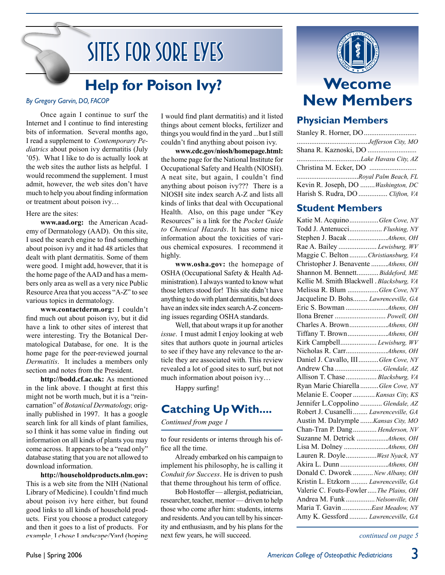# Sites for Sore Eyes

# **Help for Poison Ivy?**

#### *By Gregory Garvin, DO, FACOP*

Once again I continue to surf the Internet and I continue to find interesting bits of information. Several months ago, I read a supplement to *Contemporary Pediatrics* about poison ivy dermatitis (July '05). What I like to do is actually look at the web sites the author lists as helpful. I would recommend the supplement. I must admit, however, the web sites don't have much to help you about finding information or treatment about poison ivy…

#### Here are the sites:

**www.aad.org:** the American Academy of Dermatology (AAD). On this site, I used the search engine to find something about poison ivy and it had 48 articles that dealt with plant dermatitis. Some of them were good. I might add, however, that it is the home page of the AAD and has a members only area as well as a very nice Public Resource Area that you access "A-Z" to see various topics in dermatology.

**www.contactderm.org:** I couldn't find much out about poison ivy, but it did have a link to other sites of interest that were interesting. Try the Botanical Dermatological Database, for one. It is the home page for the peer-reviewed journal *Dermatitis*. It includes a members only section and notes from the President.

**http://bodd.cf.ac.uk:** As mentioned in the link above. I thought at first this might not be worth much, but it is a "reincarnation" of *Botanical Dermatology,* originally published in 1997. It has a google search link for all kinds of plant families, so I think it has some value in finding out information on all kinds of plants you may come across. It appears to be a "read only" database stating that you are not allowed to download information.

**http://householdproducts.nlm.gov:**  This is a web site from the NIH (National Library of Medicine). I couldn't find much about poison ivy here either, but found good links to all kinds of household products. First you choose a product category and then it goes to a list of products. For example, I chose Landscape/Yard (hoping I would find plant dermatitis) and it listed things about cement blocks, fertilizer and things you would find in the yard ...but I still couldn't find anything about poison ivy.

**www.cdc.gov/niosh/homepage.html:**  the home page for the National Institute for Occupational Safety and Health (NIOSH). A neat site, but again, I couldn't find anything about poison ivy??? There is a NIOSH site index search A-Z and lists all kinds of links that deal with Occupational Health. Also, on this page under "Key Resources" is a link for the *Pocket Guide to Chemical Hazards*. It has some nice information about the toxicities of various chemical exposures. I recommend it highly.

**www.osha.gov:** the homepage of OSHA (Occupational Safety & Health Administration). I always wanted to know what those letters stood for! This site didn't have anything to do with plant dermatitis, but does have an index site index search A-Z concerning issues regarding OSHA standards.

Well, that about wraps it up for another *issue*. I must admit I enjoy looking at web sites that authors quote in journal articles to see if they have any relevance to the article they are associated with. This review revealed a lot of good sites to surf, but not much information about poison ivy…

Happy surfing!

**Catching UpWith....**

*Continued from page 1*

to four residents or interns through his office all the time.

Already embarked on his campaign to implement his philosophy, he is calling it *Conduit for Success*. He is driven to push that theme throughout his term of office.

Bob Hostoffer — allergist, pediatrician, researcher, teacher, mentor — driven to help those who come after him: students, interns and residents. And you can tell by his sincerity and enthusiasm, and by his plans for the next few years, he will succeed.



### **Physician Members**

| Lake Havasu City, AZ               |
|------------------------------------|
|                                    |
| Royal Palm Beach, FL               |
| Kevin R. Joseph, DO Washington, DC |
| Harish S. Rudra, DO  Clifton, VA   |
|                                    |

### **Student Members**

| Katie M. AcquinoGlen Cove, NY              |  |
|--------------------------------------------|--|
| Todd J. Antenucci Flushing, NY             |  |
|                                            |  |
| Rae A. Bailey  Lewisburg, WV               |  |
| Maggie C. Belton Christiansburg, VA        |  |
| Christopher J. Benavente Athens, OH        |  |
| Shannon M. Bennett Biddeford, ME           |  |
| Kellie M. Smith Blackwell . Blacksburg, VA |  |
| Melissa R. Blum Glen Cove, NY              |  |
| Jacqueline D. Bohs Lawrenceville, GA       |  |
|                                            |  |
| Ilona Brener  Powell, OH                   |  |
|                                            |  |
|                                            |  |
| Kirk Campbell Lewisburg, WV                |  |
|                                            |  |
| Daniel J. Cavallo, III  Glen Cove, NY      |  |
| Andrew Cha  Glendale, AZ                   |  |
| Allison T. Chase  Blacksburg, VA           |  |
| Ryan Marie Chiarella  Glen Cove, NY        |  |
| Melanie E. Cooper  Kansas City, KS         |  |
| Jennifer L.Coppolino  Glendale, AZ         |  |
| Robert J. Cusanelli  Lawrenceville, GA     |  |
| Austin M. Dalrymple  Kansas City, MO       |  |
| Chan-Tran P. Dang Henderson, NV            |  |
|                                            |  |
|                                            |  |
| Lauren R. Doyle West Nyack, NY             |  |
|                                            |  |
| Donald C. Dworek  New Albany, OH           |  |
| Kristin L. Etzkorn  Lawrenceville, GA      |  |
| Valerie C. Fouts-Fowler  The Plains, OH    |  |
| Andrea M. Funk  Nelsonville, OH            |  |
| Maria T. Gavin East Meadow, NY             |  |
| Amy K. Gessford  Lawrenceville, GA         |  |
|                                            |  |

*continued on page 5*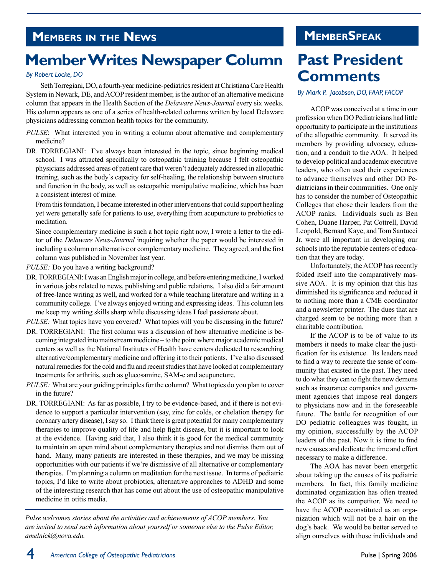### **Members in the News**

# **MemberWrites Newspaper Column**

#### *By Robert Locke, DO*

Seth Torregiani, DO, a fourth-year medicine-pediatrics resident at Christiana Care Health System in Newark, DE, and ACOP resident member, is the author of an alternative medicine column that appears in the Health Section of the *Delaware News-Journal* every six weeks. His column appears as one of a series of health-related columns written by local Delaware physicians addressing common health topics for the community.

- *PULSE*: What interested you in writing a column about alternative and complementary medicine?
- DR. TORREGIANI: I've always been interested in the topic, since beginning medical school. I was attracted specifically to osteopathic training because I felt osteopathic physicians addressed areas of patient care that weren't adequately addressed in allopathic training, such as the body's capacity for self-healing, the relationship between structure and function in the body, as well as osteopathic manipulative medicine, which has been a consistent interest of mine.

From this foundation, I became interested in other interventions that could support healing yet were generally safe for patients to use, everything from acupuncture to probiotics to meditation.

 Since complementary medicine is such a hot topic right now, I wrote a letter to the editor of the *Delaware News-Journal* inquiring whether the paper would be interested in including a column on alternative or complementary medicine. They agreed, and the first column was published in November last year.

*PULSE:* Do you have a writing background?

DR. TORREGIANI: I was an English major in college, and before entering medicine, I worked in various jobs related to news, publishing and public relations. I also did a fair amount of free-lance writing as well, and worked for a while teaching literature and writing in a community college. I've always enjoyed writing and expressing ideas. This column lets me keep my writing skills sharp while discussing ideas I feel passionate about.

*PULSE:* What topics have you covered? What topics will you be discussing in the future?

- DR. TORREGIANI: The first column was a discussion of how alternative medicine is becoming integrated into mainstream medicine – to the point where major academic medical centers as well as the National Institutes of Health have centers dedicated to researching alternative/complementary medicine and offering it to their patients. I've also discussed natural remedies for the cold and flu and recent studies that have looked at complementary treatments for arthritis, such as glucosamine, SAM-e and acupuncture.
- *PULSE:* What are your guiding principles for the column? What topics do you plan to cover in the future?
- DR. TORREGIANI: As far as possible, I try to be evidence-based, and if there is not evidence to support a particular intervention (say, zinc for colds, or chelation therapy for coronary artery disease), I say so. I think there is great potential for many complementary therapies to improve quality of life and help fight disease, but it is important to look at the evidence. Having said that, I also think it is good for the medical community to maintain an open mind about complementary therapies and not dismiss them out of hand. Many, many patients are interested in these therapies, and we may be missing opportunities with our patients if we're dismissive of all alternative or complementary therapies. I'm planning a column on meditation for the next issue. In terms of pediatric topics, I'd like to write about probiotics, alternative approaches to ADHD and some of the interesting research that has come out about the use of osteopathic manipulative medicine in otitis media.

*Pulse welcomes stories about the activities and achievements of ACOP members. You are invited to send such information about yourself or someone else to the Pulse Editor, amelnick@nova.edu.*

### **MemberSpeak**

# **Past President Comments**

#### *By Mark P. Jacobson, DO, FAAP, FACOP*

ACOP was conceived at a time in our profession when DO Pediatricians had little opportunity to participate in the institutions of the allopathic community. It served its members by providing advocacy, education, and a conduit to the AOA. It helped to develop political and academic executive leaders, who often used their experiences to advance themselves and other DO Pediatricians in their communities. One only has to consider the number of Osteopathic Colleges that chose their leaders from the ACOP ranks. Individuals such as Ben Cohen, Duane Harper, Pat Cottrell, David Leopold, Bernard Kaye, and Tom Santucci Jr. were all important in developing our schools into the reputable centers of education that they are today.

Unfortunately, the ACOP has recently folded itself into the comparatively massive AOA. It is my opinion that this has diminished its significance and reduced it to nothing more than a CME coordinator and a newsletter printer. The dues that are charged seem to be nothing more than a charitable contribution.

If the ACOP is to be of value to its members it needs to make clear the justification for its existence. Its leaders need to find a way to recreate the sense of community that existed in the past. They need to do what they can to fight the new demons such as insurance companies and government agencies that impose real dangers to physicians now and in the foreseeable future. The battle for recognition of our DO pediatric colleagues was fought, in my opinion, successfully by the ACOP leaders of the past. Now it is time to find new causes and dedicate the time and effort necessary to make a difference.

The AOA has never been energetic about taking up the causes of its pediatric members. In fact, this family medicine dominated organization has often treated the ACOP as its competitor. We need to have the ACOP reconstituted as an organization which will not be a hair on the dog's back. We would be better served to align ourselves with those individuals and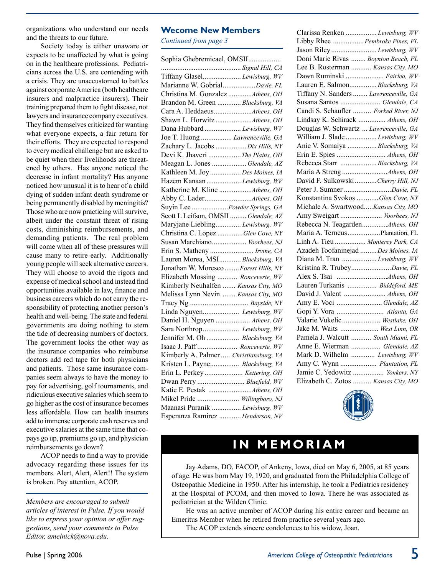organizations who understand our needs and the threats to our future.

Society today is either unaware or expects to be unaffected by what is going on in the healthcare professions. Pediatricians across the U.S. are contending with a crisis. They are unaccustomed to battles against corporate America (both healthcare insurers and malpractice insurers). Their training prepared them to fight disease, not lawyers and insurance company executives. They find themselves criticized for wanting what everyone expects, a fair return for their efforts. They are expected to respond to every medical challenge but are asked to be quiet when their livelihoods are threatened by others. Has anyone noticed the decrease in infant mortality? Has anyone noticed how unusual it is to hear of a child dying of sudden infant death syndrome or being permanently disabled by meningitis? Those who are now practicing will survive, albeit under the constant threat of rising costs, diminishing reimbursements, and demanding patients. The real problem will come when all of these pressures will cause many to retire early. Additionally young people will seek alternative careers. They will choose to avoid the rigors and expense of medical school and instead find opportunities available in law, finance and business careers which do not carry the responsibility of protecting another person's health and well-being. The state and federal governments are doing nothing to stem the tide of decreasing numbers of doctors. The government looks the other way as the insurance companies who reimburse doctors add red tape for both physicians and patients. Those same insurance companies seem always to have the money to pay for advertising, golf tournaments, and ridiculous executive salaries which seem to go higher as the cost of insurance becomes less affordable. How can health insurers add to immense corporate cash reserves and executive salaries at the same time that copays go up, premiums go up, and physician reimbursements go down?

ACOP needs to find a way to provide advocacy regarding these issues for its members. Alert, Alert, Alert!! The system is broken. Pay attention, ACOP.

*Members are encouraged to submit articles of interest in Pulse. If you would like to express your opinion or offer suggestions, send your comments to Pulse Editor, amelnick@nova.edu.*

#### **Wecome New Members**

*Continued from page 3*

| Sophia Ghebremicael, OMSII             |  |
|----------------------------------------|--|
|                                        |  |
| Tiffany Glasel Lewisburg, WV           |  |
| Marianne W. GobrialDavie, FL           |  |
| Christina M. Gonzalez Athens, OH       |  |
| Brandon M. Green  Blacksburg, VA       |  |
|                                        |  |
|                                        |  |
| Dana Hubbard  Lewisburg, WV            |  |
| Joe T. Huong  Lawrenceville, GA        |  |
| Zachary L. Jacobs  Dix Hills, NY       |  |
| Devi K. Jhaveri  The Plains, OH        |  |
| Meagan L. Jones  Glendale, AZ          |  |
| Kathleen M. Joy  Des Moines, IA        |  |
| Hazem Kanaan  Lewisburg, WV            |  |
|                                        |  |
|                                        |  |
| Suyin Lee Powder Springs, GA           |  |
| Scott L Leifson, OMSII  Glendale, AZ   |  |
| Maryjane Liebling Lewisburg, WV        |  |
| Christina C. Lopez Glen Cove, NY       |  |
| Susan Marchiano Voorhees, NJ           |  |
| Erin S. Matheny  Irvine, CA            |  |
| Lauren Morea, MSI Blacksburg, VA       |  |
| Jonathan W. Moresco  Forest Hills, NY  |  |
| Elizabeth Mossing  Ronceverte, WV      |  |
| Kimberly Neuhalfen  Kansas City, MO    |  |
| Melissa Lynn Nevin  Kansas City, MO    |  |
| Tracy Ng  Bayside, NY                  |  |
| Linda Nguyen Lewisburg, WV             |  |
| Daniel H. Nguyen  Athens, OH           |  |
| Sara Northrop Lewisburg, WV            |  |
| Jennifer M. Oh  Blacksburg, VA         |  |
| Isaac J. Paff Ronceverte, WV           |  |
| Kimberly A. Palmer  Christiansburg, VA |  |
| Kristen L. Payne Blacksburg, VA        |  |
| Erin L. Perkey  Kettering, OH          |  |
| Dwan Perry  Bluefield, WV              |  |
|                                        |  |
| Mikel Pride  Willingboro, NJ           |  |
| Maanasi Puranik  Lewisburg, WV         |  |
| Esperanza Ramirez  Henderson, NV       |  |

| Clarissa Renken  Lewisburg, WV         |
|----------------------------------------|
| Libby Rhee Pembroke Pines, FL          |
|                                        |
| Doni Marie Rivas  Boynton Beach, FL    |
| Lee B. Rosterman  Kansas City, MO      |
| Dawn Ruminski  Fairlea, WV             |
| Lauren E. Salmon Blacksburg, VA        |
| Tiffany N. Sanders  Lawrenceville, GA  |
| Susana Santos  Glendale, CA            |
| Candi S. Schaufler  Forked River, NJ   |
| Lindsay K. Schirack  Athens, OH        |
| Douglas W. Schwartz  Lawrenceville, GA |
| William J. Slade  Lewisburg, WV        |
| Anie V. Somaiya  Blacksburg, VA        |
| Erin E. Spies  Athens, OH              |
| Rebecca Starr Blacksburg, VA           |
|                                        |
| David F. Sulkowski  Cherry Hill, NJ    |
| Peter J. Sumner Davie, FL              |
| Konstantina Svokos Glen Cove, NY       |
| Michale A. SwartwoodKansas City, MO    |
| Amy Sweigart  Voorhees, NJ             |
| Rebecca N. TeagardenAthens, OH         |
| Maria A. TerneusPlantation, FL         |
| Linh A. Tieu  Monterey Park, CA        |
| Azadeh Toofaninejad  Des Moines, IA    |
| Diana M. Tran  Lewisburg, WV           |
| Kristina R. TrubeyDavie, FL            |
|                                        |
| Lauren Turkanis  Biddeford, ME         |
| David J. Valent  Athens, OH            |
| Amy E. Voci  Glendale, AZ              |
| Gopi Y. Vora  Atlanta, GA              |
| Valarie Vukelic Westlake, OH           |
| Jake M. Waits  West Linn, OR           |
| Pamela J. Walcutt  South Miami, FL     |
| Anne E. Wierman  Glendale, AZ          |
| Mark D. Wilhelm  Lewisburg, WV         |
| Amy C. Wynn  Plantation, FL            |
| Jamie C. Yedowitz  Yonkers, NY         |
| Elizabeth C. Zotos  Kansas City, MO    |



### **I n M emoriam**

Jay Adams, DO, FACOP, of Ankeny, Iowa, died on May 6, 2005, at 85 years of age. He was born May 19, 1920, and graduated from the Philadelphia College of Osteopathic Medicine in 1950. After his internship, he took a Pediatrics residency at the Hospital of PCOM, and then moved to Iowa. There he was associated as pediatrician at the Wilden Clinic.

He was an active member of ACOP during his entire career and became an Emeritus Member when he retired from practice several years ago.

The ACOP extends sincere condolences to his widow, Joan.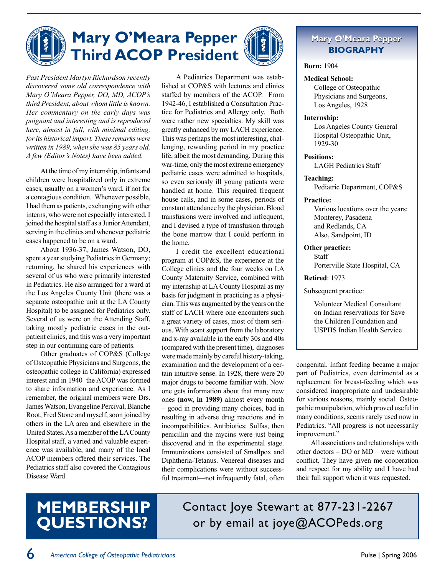

*Past President Martyn Richardson recently discovered some old correspondence with Mary O'Meara Pepper, DO, MD, ACOP's third President, about whom little is known. Her commentary on the early days was poignant and interesting and is reproduced here, almost in full, with minimal editing, for its historical import. These remarks were written in 1989, when she was 85 years old. A few (Editor's Notes) have been added.*

At the time of my internship, infants and children were hospitalized only in extreme cases, usually on a women's ward, if not for a contagious condition. Whenever possible, I had them as patients, exchanging with other interns, who were not especially interested. I joined the hospital staff as a Junior Attendant, serving in the clinics and whenever pediatric cases happened to be on a ward.

About 1936-37, James Watson, DO, spent a year studying Pediatrics in Germany; returning, he shared his experiences with several of us who were primarily interested in Pediatrics. He also arranged for a ward at the Los Angeles County Unit (there was a separate osteopathic unit at the LA County Hospital) to be assigned for Pediatrics only. Several of us were on the Attending Staff, taking mostly pediatric cases in the outpatient clinics, and this was a very important step in our continuing care of patients.

Other graduates of COP&S (College of Osteopathic Physicians and Surgeons, the osteopathic college in California) expressed interest and in 1940 the ACOP was formed to share information and experience. As I remember, the original members were Drs. James Watson, Evangeline Percival, Blanche Root, Fred Stone and myself, soon joined by others in the LA area and elsewhere in the United States. As a member of the LA County Hospital staff, a varied and valuable experience was available, and many of the local ACOP members offered their services. The Pediatrics staff also covered the Contagious Disease Ward.

A Pediatrics Department was established at COP&S with lectures and clinics staffed by members of the ACOP. From 1942-46, I established a Consultation Practice for Pediatrics and Allergy only. Both were rather new specialties. My skill was greatly enhanced by my LACH experience. This was perhaps the most interesting, challenging, rewarding period in my practice life, albeit the most demanding. During this war-time, only the most extreme emergency pediatric cases were admitted to hospitals, so even seriously ill young patients were handled at home. This required frequent house calls, and in some cases, periods of constant attendance by the physician. Blood transfusions were involved and infrequent, and I devised a type of transfusion through the bone marrow that I could perform in the home.

I credit the excellent educational program at COP&S, the experience at the College clinics and the four weeks on LA County Maternity Service, combined with my internship at LA County Hospital as my basis for judgment in practicing as a physician. This was augmented by the years on the staff of LACH where one encounters such a great variety of cases, most of them serious. With scant support from the laboratory and x-ray available in the early 30s and 40s (compared with the present time), diagnoses were made mainly by careful history-taking, examination and the development of a certain intuitive sense. In 1928, there were 20 major drugs to become familiar with. Now one gets information about that many new ones **(now, in 1989)** almost every month – good in providing many choices, bad in resulting in adverse drug reactions and in incompatibilities. Antibiotics: Sulfas, then penicillin and the mycins were just being discovered and in the experimental stage. Immunizations consisted of Smallpox and Diphtheria-Tetanus. Venereal diseases and their complications were without successful treatment—not infrequently fatal, often

#### **Mary O'Meara O'Meara Pepper BIOGRAPHY**

**Born:** 1904

#### **Medical School:**

College of Osteopathic Physicians and Surgeons, Los Angeles, 1928

#### **Internship:**

Los Angeles County General Hospital Osteopathic Unit, 1929-30

**Positions:** 

LAGH Pediatrics Staff

**Teaching:**

Pediatric Department, COP&S

#### **Practice:**

Various locations over the years: Monterey, Pasadena and Redlands, CA Also, Sandpoint, ID

**Other practice:** 

Staff Porterville State Hospital, CA

**Retired**: 1973

Subsequent practice:

Volunteer Medical Consultant on Indian reservations for Save the Children Foundation and USPHS Indian Health Service

congenital. Infant feeding became a major part of Pediatrics, even detrimental as a replacement for breast-feeding which was considered inappropriate and undesirable for various reasons, mainly social. Osteopathic manipulation, which proved useful in many conditions, seems rarely used now in Pediatrics. "All progress is not necessarily improvement."

All associations and relationships with other doctors – DO or MD – were without conflict. They have given me cooperation and respect for my ability and I have had their full support when it was requested.

# **Membership Questions?**

Contact Joye Stewart at 877-231-2267 or by email at joye@ACOPeds.org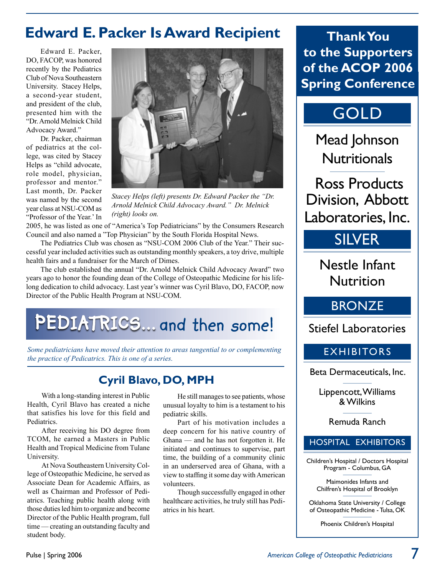## **Edward E.Packer Is Award Recipient**

Edward E. Packer, DO, FACOP, was honored recently by the Pediatrics Club of Nova Southeastern University. Stacey Helps, a second-year student, and president of the club, presented him with the "Dr. Arnold Melnick Child Advocacy Award."

Dr. Packer, chairman of pediatrics at the college, was cited by Stacey Helps as "child advocate, role model, physician, professor and mentor." Last month, Dr. Packer was named by the second year class at NSU-COM as "Professor of the Year.' In



*Stacey Helps (left) presents Dr. Edward Packer the "Dr. Arnold Melnick Child Advocacy Award." Dr. Melnick (right) looks on.*

2005, he was listed as one of "America's Top Pediatricians" by the Consumers Research Council and also named a "Top Physician" by the South Florida Hospital News.

The Pediatrics Club was chosen as "NSU-COM 2006 Club of the Year." Their successful year included activities such as outstanding monthly speakers, a toy drive, multiple health fairs and a fundraiser for the March of Dimes.

The club established the annual "Dr. Arnold Melnick Child Advocacy Award" two years ago to honor the founding dean of the College of Osteopathic Medicine for his lifelong dedication to child advocacy. Last year's winner was Cyril Blavo, DO, FACOP, now Director of the Public Health Program at NSU-COM.

# PEDIATRICS... and then some!

*Some pediatricians have moved their attention to areas tangential to or complementing the practice of Pedicatrics. This is one of a series.*

### **Cyril Blavo, DO, MPH**

With a long-standing interest in Public Health, Cyril Blavo has created a niche that satisfies his love for this field and Pediatrics.

After receiving his DO degree from TCOM, he earned a Masters in Public Health and Tropical Medicine from Tulane University.

At Nova Southeastern University College of Osteopathic Medicine, he served as Associate Dean for Academic Affairs, as well as Chairman and Professor of Pediatrics. Teaching public health along with those duties led him to organize and become Director of the Public Health program, full time — creating an outstanding faculty and student body.

He still manages to see patients, whose unusual loyalty to him is a testament to his pediatric skills.

Part of his motivation includes a deep concern for his native country of Ghana — and he has not forgotten it. He initiated and continues to supervise, part time, the building of a community clinic in an underserved area of Ghana, with a view to staffing it some day with American volunteers.

Though successfully engaged in other healthcare activities, he truly still has Pediatrics in his heart.

**ThankYou to the Supporters of the ACOP 2006 Spring Conference**

# GOLD

Mead Johnson **Nutritionals** 

Ross Products Division, Abbott Laboratories, Inc.

### SILVER

Nestle Infant **Nutrition** 

### **BRONZE**

Stiefel Laboratories

### EXHIBITORS

Beta Dermaceuticals, Inc.

Lippencott, Williams & Wilkins

Remuda Ranch

#### HOSPITAL EXHIBITORS

Children's Hospital / Doctors Hospital Program - Columbus, GA

Maimonides Infants and Chilfren's Hospital of Brooklyn

Oklahoma State University / College of Osteopathic Medicine - Tulsa, OK

Phoenix Children's Hospital

7